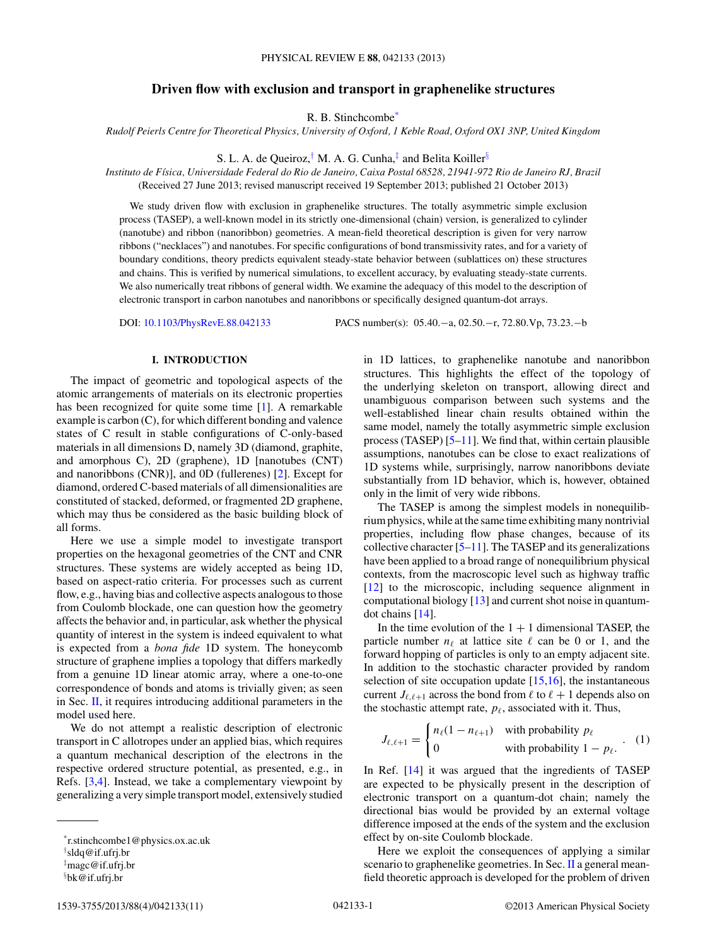# **Driven flow with exclusion and transport in graphenelike structures**

R. B. Stinchcombe\*

*Rudolf Peierls Centre for Theoretical Physics, University of Oxford, 1 Keble Road, Oxford OX1 3NP, United Kingdom*

S. L. A. de Queiroz,<sup>†</sup> M. A. G. Cunha, $\frac{1}{4}$  and Belita Koiller<sup>§</sup>

*Instituto de F´ısica, Universidade Federal do Rio de Janeiro, Caixa Postal 68528, 21941-972 Rio de Janeiro RJ, Brazil* (Received 27 June 2013; revised manuscript received 19 September 2013; published 21 October 2013)

We study driven flow with exclusion in graphenelike structures. The totally asymmetric simple exclusion process (TASEP), a well-known model in its strictly one-dimensional (chain) version, is generalized to cylinder (nanotube) and ribbon (nanoribbon) geometries. A mean-field theoretical description is given for very narrow ribbons ("necklaces") and nanotubes. For specific configurations of bond transmissivity rates, and for a variety of boundary conditions, theory predicts equivalent steady-state behavior between (sublattices on) these structures and chains. This is verified by numerical simulations, to excellent accuracy, by evaluating steady-state currents. We also numerically treat ribbons of general width. We examine the adequacy of this model to the description of electronic transport in carbon nanotubes and nanoribbons or specifically designed quantum-dot arrays.

DOI: [10.1103/PhysRevE.88.042133](http://dx.doi.org/10.1103/PhysRevE.88.042133) PACS number(s): 05*.*40*.*−a, 02*.*50*.*−r, 72*.*80*.*Vp, 73*.*23*.*−b

### **I. INTRODUCTION**

The impact of geometric and topological aspects of the atomic arrangements of materials on its electronic properties has been recognized for quite some time [\[1\]](#page-10-0). A remarkable example is carbon (C), for which different bonding and valence states of C result in stable configurations of C-only-based materials in all dimensions D, namely 3D (diamond, graphite, and amorphous C), 2D (graphene), 1D [nanotubes (CNT) and nanoribbons (CNR)], and 0D (fullerenes) [\[2\]](#page-10-0). Except for diamond, ordered C-based materials of all dimensionalities are constituted of stacked, deformed, or fragmented 2D graphene, which may thus be considered as the basic building block of all forms.

Here we use a simple model to investigate transport properties on the hexagonal geometries of the CNT and CNR structures. These systems are widely accepted as being 1D, based on aspect-ratio criteria. For processes such as current flow, e.g., having bias and collective aspects analogous to those from Coulomb blockade, one can question how the geometry affects the behavior and, in particular, ask whether the physical quantity of interest in the system is indeed equivalent to what is expected from a *bona fide* 1D system. The honeycomb structure of graphene implies a topology that differs markedly from a genuine 1D linear atomic array, where a one-to-one correspondence of bonds and atoms is trivially given; as seen in Sec.  $II$ , it requires introducing additional parameters in the model used here.

We do not attempt a realistic description of electronic transport in C allotropes under an applied bias, which requires a quantum mechanical description of the electrons in the respective ordered structure potential, as presented, e.g., in Refs. [\[3,4\]](#page-10-0). Instead, we take a complementary viewpoint by generalizing a very simple transport model, extensively studied

† sldq@if.ufrj.br

1539-3755/2013/88(4)/042133(11) ©2013 American Physical Society 042133-1

in 1D lattices, to graphenelike nanotube and nanoribbon structures. This highlights the effect of the topology of the underlying skeleton on transport, allowing direct and unambiguous comparison between such systems and the well-established linear chain results obtained within the same model, namely the totally asymmetric simple exclusion process (TASEP)  $[5-11]$ . We find that, within certain plausible assumptions, nanotubes can be close to exact realizations of 1D systems while, surprisingly, narrow nanoribbons deviate substantially from 1D behavior, which is, however, obtained only in the limit of very wide ribbons.

The TASEP is among the simplest models in nonequilibrium physics, while at the same time exhibiting many nontrivial properties, including flow phase changes, because of its collective character [\[5–11\]](#page-10-0). The TASEP and its generalizations have been applied to a broad range of nonequilibrium physical contexts, from the macroscopic level such as highway traffic [\[12\]](#page-10-0) to the microscopic, including sequence alignment in computational biology [\[13\]](#page-10-0) and current shot noise in quantumdot chains [\[14\]](#page-10-0).

In the time evolution of the  $1 + 1$  dimensional TASEP, the particle number  $n_{\ell}$  at lattice site  $\ell$  can be 0 or 1, and the forward hopping of particles is only to an empty adjacent site. In addition to the stochastic character provided by random selection of site occupation update  $[15,16]$ , the instantaneous current  $J_{\ell, \ell+1}$  across the bond from  $\ell$  to  $\ell+1$  depends also on the stochastic attempt rate,  $p_{\ell}$ , associated with it. Thus,

$$
J_{\ell,\ell+1} = \begin{cases} n_{\ell}(1 - n_{\ell+1}) & \text{with probability } p_{\ell} \\ 0 & \text{with probability } 1 - p_{\ell}. \end{cases} \tag{1}
$$

In Ref. [\[14\]](#page-10-0) it was argued that the ingredients of TASEP are expected to be physically present in the description of electronic transport on a quantum-dot chain; namely the directional bias would be provided by an external voltage difference imposed at the ends of the system and the exclusion effect by on-site Coulomb blockade.

Here we exploit the consequences of applying a similar scenario to graphenelike geometries. In Sec. [II](#page-1-0) a general meanfield theoretic approach is developed for the problem of driven

<sup>\*</sup>r.stinchcombe1@physics.ox.ac.uk

<sup>‡</sup> magc@if.ufrj.br

<sup>§</sup> bk@if.ufrj.br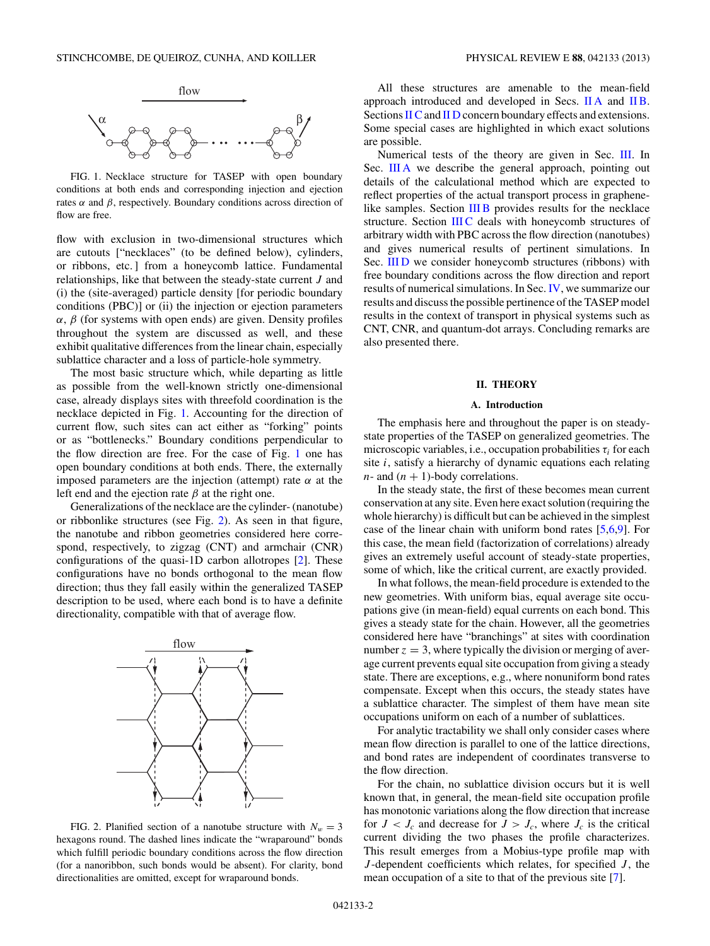<span id="page-1-0"></span>

FIG. 1. Necklace structure for TASEP with open boundary conditions at both ends and corresponding injection and ejection rates  $α$  and  $β$ , respectively. Boundary conditions across direction of flow are free.

flow with exclusion in two-dimensional structures which are cutouts ["necklaces" (to be defined below), cylinders, or ribbons, etc. ] from a honeycomb lattice. Fundamental relationships, like that between the steady-state current *J* and (i) the (site-averaged) particle density [for periodic boundary conditions (PBC)] or (ii) the injection or ejection parameters  $\alpha$ ,  $\beta$  (for systems with open ends) are given. Density profiles throughout the system are discussed as well, and these exhibit qualitative differences from the linear chain, especially sublattice character and a loss of particle-hole symmetry.

The most basic structure which, while departing as little as possible from the well-known strictly one-dimensional case, already displays sites with threefold coordination is the necklace depicted in Fig. 1. Accounting for the direction of current flow, such sites can act either as "forking" points or as "bottlenecks." Boundary conditions perpendicular to the flow direction are free. For the case of Fig. 1 one has open boundary conditions at both ends. There, the externally imposed parameters are the injection (attempt) rate *α* at the left end and the ejection rate  $\beta$  at the right one.

Generalizations of the necklace are the cylinder- (nanotube) or ribbonlike structures (see Fig. 2). As seen in that figure, the nanotube and ribbon geometries considered here correspond, respectively, to zigzag (CNT) and armchair (CNR) configurations of the quasi-1D carbon allotropes [\[2\]](#page-10-0). These configurations have no bonds orthogonal to the mean flow direction; thus they fall easily within the generalized TASEP description to be used, where each bond is to have a definite directionality, compatible with that of average flow.



FIG. 2. Planified section of a nanotube structure with  $N_w = 3$ hexagons round. The dashed lines indicate the "wraparound" bonds which fulfill periodic boundary conditions across the flow direction (for a nanoribbon, such bonds would be absent). For clarity, bond directionalities are omitted, except for wraparound bonds.

All these structures are amenable to the mean-field approach introduced and developed in Secs. II A and [II B.](#page-2-0) Sections [II C](#page-3-0) and [II D](#page-4-0) concern boundary effects and extensions. Some special cases are highlighted in which exact solutions are possible.

Numerical tests of the theory are given in Sec. [III.](#page-5-0) In Sec. [III A](#page-5-0) we describe the general approach, pointing out details of the calculational method which are expected to reflect properties of the actual transport process in graphene-like samples. Section [III B](#page-5-0) provides results for the necklace structure. Section [III C](#page-7-0) deals with honeycomb structures of arbitrary width with PBC across the flow direction (nanotubes) and gives numerical results of pertinent simulations. In Sec. [III D](#page-8-0) we consider honeycomb structures (ribbons) with free boundary conditions across the flow direction and report results of numerical simulations. In Sec. [IV,](#page-8-0) we summarize our results and discuss the possible pertinence of the TASEP model results in the context of transport in physical systems such as CNT, CNR, and quantum-dot arrays. Concluding remarks are also presented there.

### **II. THEORY**

#### **A. Introduction**

The emphasis here and throughout the paper is on steadystate properties of the TASEP on generalized geometries. The microscopic variables, i.e., occupation probabilities  $\tau_i$  for each site *i*, satisfy a hierarchy of dynamic equations each relating  $n$ - and  $(n + 1)$ -body correlations.

In the steady state, the first of these becomes mean current conservation at any site. Even here exact solution (requiring the whole hierarchy) is difficult but can be achieved in the simplest case of the linear chain with uniform bond rates [\[5,6,9\]](#page-10-0). For this case, the mean field (factorization of correlations) already gives an extremely useful account of steady-state properties, some of which, like the critical current, are exactly provided.

In what follows, the mean-field procedure is extended to the new geometries. With uniform bias, equal average site occupations give (in mean-field) equal currents on each bond. This gives a steady state for the chain. However, all the geometries considered here have "branchings" at sites with coordination number  $z = 3$ , where typically the division or merging of average current prevents equal site occupation from giving a steady state. There are exceptions, e.g., where nonuniform bond rates compensate. Except when this occurs, the steady states have a sublattice character. The simplest of them have mean site occupations uniform on each of a number of sublattices.

For analytic tractability we shall only consider cases where mean flow direction is parallel to one of the lattice directions, and bond rates are independent of coordinates transverse to the flow direction.

For the chain, no sublattice division occurs but it is well known that, in general, the mean-field site occupation profile has monotonic variations along the flow direction that increase for  $J < J_c$  and decrease for  $J > J_c$ , where  $J_c$  is the critical current dividing the two phases the profile characterizes. This result emerges from a Mobius-type profile map with *J* -dependent coefficients which relates, for specified *J* , the mean occupation of a site to that of the previous site [\[7\]](#page-10-0).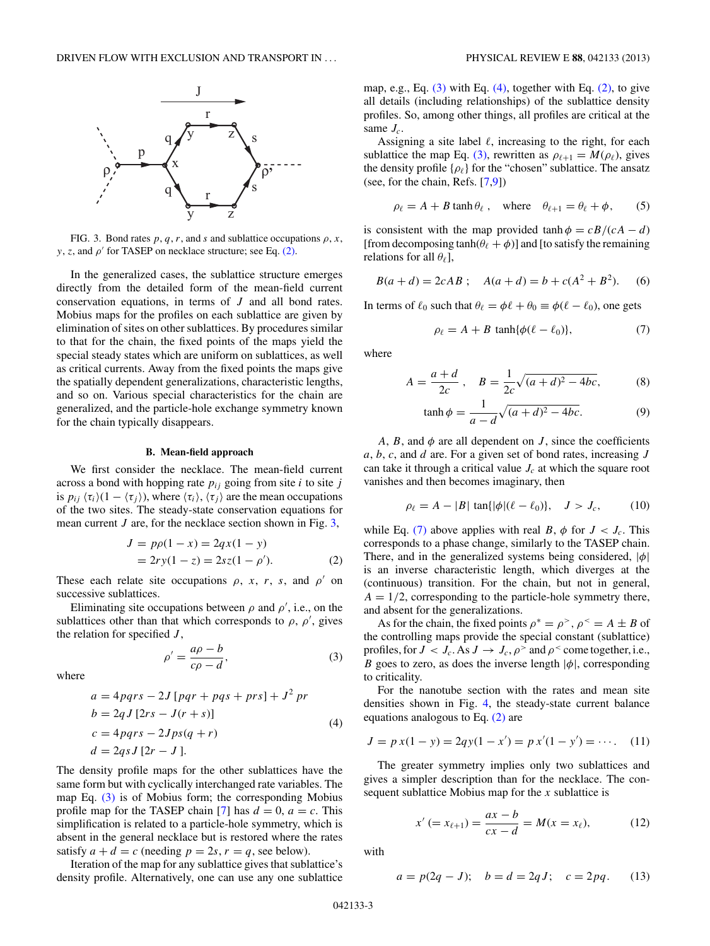<span id="page-2-0"></span>

FIG. 3. Bond rates  $p, q, r$ , and  $s$  and sublattice occupations  $\rho, x$ , *y*, *z*, and  $\rho'$  for TASEP on necklace structure; see Eq. (2).

In the generalized cases, the sublattice structure emerges directly from the detailed form of the mean-field current conservation equations, in terms of *J* and all bond rates. Mobius maps for the profiles on each sublattice are given by elimination of sites on other sublattices. By procedures similar to that for the chain, the fixed points of the maps yield the special steady states which are uniform on sublattices, as well as critical currents. Away from the fixed points the maps give the spatially dependent generalizations, characteristic lengths, and so on. Various special characteristics for the chain are generalized, and the particle-hole exchange symmetry known for the chain typically disappears.

# **B. Mean-field approach**

We first consider the necklace. The mean-field current across a bond with hopping rate  $p_{ij}$  going from site *i* to site *j* is  $p_{ij} \langle \tau_i \rangle (1 - \langle \tau_j \rangle)$ , where  $\langle \tau_i \rangle$ ,  $\langle \tau_j \rangle$  are the mean occupations of the two sites. The steady-state conservation equations for mean current *J* are, for the necklace section shown in Fig. 3,

$$
J = p\rho(1 - x) = 2qx(1 - y)
$$
  
=  $2ry(1 - z) = 2sz(1 - \rho')$ . (2)

These each relate site occupations  $\rho$ , *x*, *r*, *s*, and  $\rho'$  on successive sublattices.

Eliminating site occupations between  $\rho$  and  $\rho'$ , i.e., on the sublattices other than that which corresponds to  $\rho$ ,  $\rho'$ , gives the relation for specified *J* ,

$$
\rho' = \frac{a\rho - b}{c\rho - d},\tag{3}
$$

where

$$
a = 4pqrs - 2J [pqr + pqs + prs] + J2 pr
$$
  
\n
$$
b = 2qJ [2rs - J(r + s)]
$$
  
\n
$$
c = 4pqrs - 2Jps(q + r)
$$
  
\n
$$
d = 2qsJ [2r - J].
$$
  
\n(4)

The density profile maps for the other sublattices have the same form but with cyclically interchanged rate variables. The map Eq. (3) is of Mobius form; the corresponding Mobius profile map for the TASEP chain [\[7\]](#page-10-0) has  $d = 0$ ,  $a = c$ . This simplification is related to a particle-hole symmetry, which is absent in the general necklace but is restored where the rates satisfy  $a + d = c$  (needing  $p = 2s$ ,  $r = q$ , see below).

Iteration of the map for any sublattice gives that sublattice's density profile. Alternatively, one can use any one sublattice

map, e.g., Eq.  $(3)$  with Eq.  $(4)$ , together with Eq.  $(2)$ , to give all details (including relationships) of the sublattice density profiles. So, among other things, all profiles are critical at the same *Jc*.

Assigning a site label  $\ell$ , increasing to the right, for each sublattice the map Eq. (3), rewritten as  $\rho_{\ell+1} = M(\rho_{\ell})$ , gives the density profile { $ρ<sub>ℓ</sub>$ } for the "chosen" sublattice. The ansatz (see, for the chain, Refs. [\[7,9\]](#page-10-0))

$$
\rho_{\ell} = A + B \tanh \theta_{\ell} , \quad \text{where} \quad \theta_{\ell+1} = \theta_{\ell} + \phi, \qquad (5)
$$

is consistent with the map provided tanh  $\phi = cB/(cA - d)$ [from decomposing  $tanh(\theta_\ell + \phi)$ ] and [to satisfy the remaining relations for all  $\theta_{\ell}$ ],

$$
B(a + d) = 2cAB; \quad A(a + d) = b + c(A2 + B2).
$$
 (6)

In terms of  $\ell_0$  such that  $\theta_\ell = \phi \ell + \theta_0 \equiv \phi(\ell - \ell_0)$ , one gets

$$
\rho_{\ell} = A + B \tanh{\lbrace \phi(\ell - \ell_0) \rbrace},\tag{7}
$$

where

$$
A = \frac{a+d}{2c}, \quad B = \frac{1}{2c}\sqrt{(a+d)^2 - 4bc}, \tag{8}
$$

$$
\tanh \phi = \frac{1}{a - d} \sqrt{(a + d)^2 - 4bc}.\tag{9}
$$

*A*, *B*, and  $\phi$  are all dependent on *J*, since the coefficients *a*, *b*, *c*, and *d* are. For a given set of bond rates, increasing *J* can take it through a critical value  $J_c$  at which the square root vanishes and then becomes imaginary, then

$$
\rho_{\ell} = A - |B| \, \tan\{|\phi|(\ell - \ell_0)\}, \quad J > J_c,\tag{10}
$$

while Eq. (7) above applies with real *B*,  $\phi$  for  $J < J_c$ . This corresponds to a phase change, similarly to the TASEP chain. There, and in the generalized systems being considered, |*φ*| is an inverse characteristic length, which diverges at the (continuous) transition. For the chain, but not in general,  $A = 1/2$ , corresponding to the particle-hole symmetry there, and absent for the generalizations.

As for the chain, the fixed points  $\rho^* = \rho^>, \rho^* = A \pm B$  of the controlling maps provide the special constant (sublattice) profiles, for  $J < J_c$ . As  $J \rightarrow J_c$ ,  $\rho^>$  and  $\rho^<$  come together, i.e., *B* goes to zero, as does the inverse length  $|\phi|$ , corresponding to criticality.

For the nanotube section with the rates and mean site densities shown in Fig. [4,](#page-3-0) the steady-state current balance equations analogous to Eq. (2) are

$$
J = p x(1 - y) = 2q y(1 - x') = p x'(1 - y') = \cdots. \tag{11}
$$

The greater symmetry implies only two sublattices and gives a simpler description than for the necklace. The consequent sublattice Mobius map for the *x* sublattice is

$$
x' (= x_{\ell+1}) = \frac{ax - b}{cx - d} = M(x = x_{\ell}),
$$
 (12)

with

$$
a = p(2q - J);
$$
  $b = d = 2qJ;$   $c = 2pq.$  (13)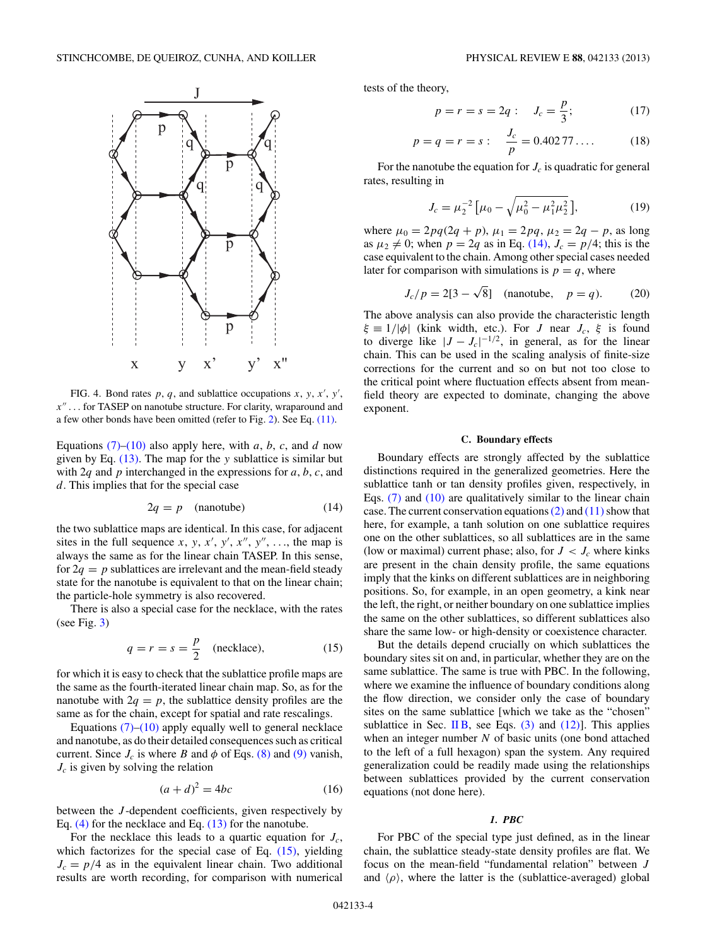<span id="page-3-0"></span>

FIG. 4. Bond rates  $p$ ,  $q$ , and sublattice occupations  $x$ ,  $y$ ,  $x'$ ,  $y'$ , *x*-- *...* for TASEP on nanotube structure. For clarity, wraparound and a few other bonds have been omitted (refer to Fig. [2\)](#page-1-0). See Eq. [\(11\).](#page-2-0)

Equations  $(7)$ – $(10)$  also apply here, with *a*, *b*, *c*, and *d* now given by Eq. [\(13\).](#page-2-0) The map for the *y* sublattice is similar but with 2*q* and *p* interchanged in the expressions for *a*, *b*, *c*, and *d*. This implies that for the special case

$$
2q = p \quad \text{(nanotube)} \tag{14}
$$

the two sublattice maps are identical. In this case, for adjacent sites in the full sequence  $x$ ,  $y$ ,  $x'$ ,  $y'$ ,  $x''$ ,  $y''$ , ..., the map is always the same as for the linear chain TASEP. In this sense, for  $2q = p$  sublattices are irrelevant and the mean-field steady state for the nanotube is equivalent to that on the linear chain; the particle-hole symmetry is also recovered.

There is also a special case for the necklace, with the rates (see Fig.  $3$ )

$$
q = r = s = \frac{p}{2} \quad \text{(necklace)}, \tag{15}
$$

for which it is easy to check that the sublattice profile maps are the same as the fourth-iterated linear chain map. So, as for the nanotube with  $2q = p$ , the sublattice density profiles are the same as for the chain, except for spatial and rate rescalings.

Equations  $(7)$ – $(10)$  apply equally well to general necklace and nanotube, as do their detailed consequences such as critical current. Since  $J_c$  is where *B* and  $\phi$  of Eqs. [\(8\)](#page-2-0) and [\(9\)](#page-2-0) vanish, *Jc* is given by solving the relation

$$
(a+d)^2 = 4bc \tag{16}
$$

between the *J* -dependent coefficients, given respectively by Eq. [\(4\)](#page-2-0) for the necklace and Eq. [\(13\)](#page-2-0) for the nanotube.

For the necklace this leads to a quartic equation for *Jc*, which factorizes for the special case of Eq.  $(15)$ , yielding  $J_c = p/4$  as in the equivalent linear chain. Two additional results are worth recording, for comparison with numerical

tests of the theory,

$$
p = r = s = 2q
$$
:  $J_c = \frac{p}{3}$ ; (17)

$$
p = q = r = s: \quad \frac{J_c}{p} = 0.40277\dots \tag{18}
$$

For the nanotube the equation for  $J_c$  is quadratic for general rates, resulting in

$$
J_c = \mu_2^{-2} \left[ \mu_0 - \sqrt{\mu_0^2 - \mu_1^2 \mu_2^2} \right],\tag{19}
$$

where  $\mu_0 = 2pq(2q + p)$ ,  $\mu_1 = 2pq$ ,  $\mu_2 = 2q - p$ , as long as  $\mu_2 \neq 0$ ; when  $p = 2q$  as in Eq. (14),  $J_c = p/4$ ; this is the case equivalent to the chain. Among other special cases needed later for comparison with simulations is  $p = q$ , where

$$
J_c/p = 2[3 - \sqrt{8}]
$$
 (nanotube,  $p = q$ ). (20)

The above analysis can also provide the characteristic length *ξ* ≡ 1/|φ| (kink width, etc.). For *J* near *J<sub>c</sub>*, *ξ* is found to diverge like  $|J - J_c|^{-1/2}$ , in general, as for the linear chain. This can be used in the scaling analysis of finite-size corrections for the current and so on but not too close to the critical point where fluctuation effects absent from meanfield theory are expected to dominate, changing the above exponent.

## **C. Boundary effects**

Boundary effects are strongly affected by the sublattice distinctions required in the generalized geometries. Here the sublattice tanh or tan density profiles given, respectively, in Eqs.  $(7)$  and  $(10)$  are qualitatively similar to the linear chain case. The current conservation equations  $(2)$  and  $(11)$  show that here, for example, a tanh solution on one sublattice requires one on the other sublattices, so all sublattices are in the same (low or maximal) current phase; also, for  $J < J_c$  where kinks are present in the chain density profile, the same equations imply that the kinks on different sublattices are in neighboring positions. So, for example, in an open geometry, a kink near the left, the right, or neither boundary on one sublattice implies the same on the other sublattices, so different sublattices also share the same low- or high-density or coexistence character.

But the details depend crucially on which sublattices the boundary sites sit on and, in particular, whether they are on the same sublattice. The same is true with PBC. In the following, where we examine the influence of boundary conditions along the flow direction, we consider only the case of boundary sites on the same sublattice [which we take as the "chosen" sublattice in Sec. [II B,](#page-2-0) see Eqs.  $(3)$  and  $(12)$ ]. This applies when an integer number *N* of basic units (one bond attached to the left of a full hexagon) span the system. Any required generalization could be readily made using the relationships between sublattices provided by the current conservation equations (not done here).

## *1. PBC*

For PBC of the special type just defined, as in the linear chain, the sublattice steady-state density profiles are flat. We focus on the mean-field "fundamental relation" between *J* and  $\langle \rho \rangle$ , where the latter is the (sublattice-averaged) global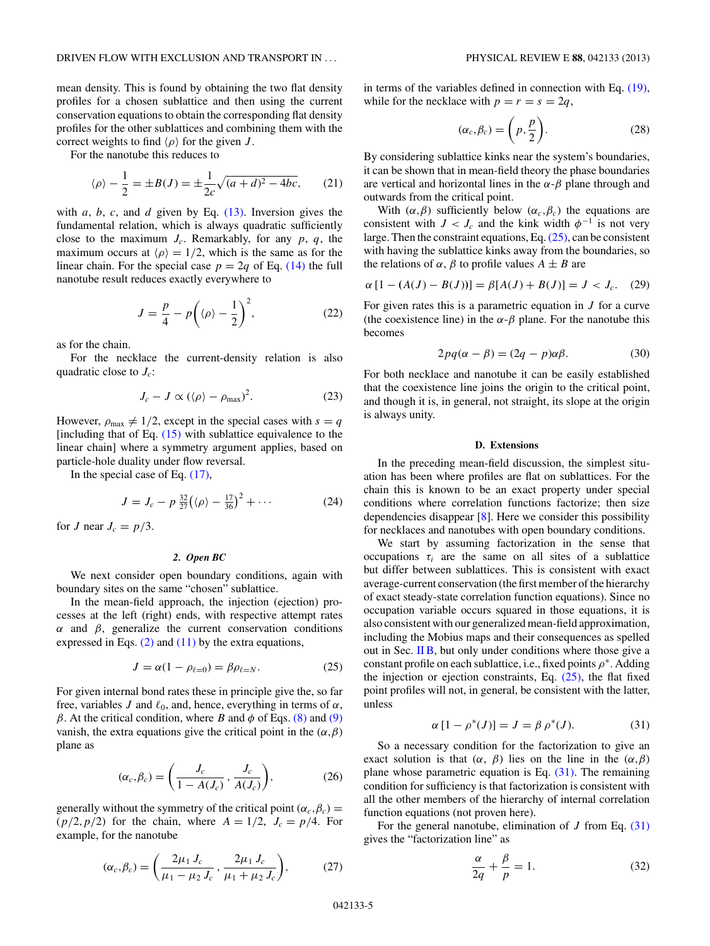<span id="page-4-0"></span>mean density. This is found by obtaining the two flat density profiles for a chosen sublattice and then using the current conservation equations to obtain the corresponding flat density profiles for the other sublattices and combining them with the correct weights to find  $\langle \rho \rangle$  for the given *J*.

For the nanotube this reduces to

$$
\langle \rho \rangle - \frac{1}{2} = \pm B(J) = \pm \frac{1}{2c} \sqrt{(a+d)^2 - 4bc},
$$
 (21)

with *a*, *b*, *c*, and *d* given by Eq. [\(13\).](#page-2-0) Inversion gives the fundamental relation, which is always quadratic sufficiently close to the maximum  $J_c$ . Remarkably, for any  $p, q$ , the maximum occurs at  $\langle \rho \rangle = 1/2$ , which is the same as for the linear chain. For the special case  $p = 2q$  of Eq. [\(14\)](#page-3-0) the full nanotube result reduces exactly everywhere to

$$
J = \frac{p}{4} - p\left(\langle \rho \rangle - \frac{1}{2}\right)^2,\tag{22}
$$

as for the chain.

For the necklace the current-density relation is also quadratic close to *Jc*:

$$
J_c - J \propto (\langle \rho \rangle - \rho_{\text{max}})^2. \tag{23}
$$

However,  $\rho_{\text{max}} \neq 1/2$ , except in the special cases with  $s = q$ [including that of Eq.  $(15)$  with sublattice equivalence to the linear chain] where a symmetry argument applies, based on particle-hole duality under flow reversal.

In the special case of Eq. [\(17\),](#page-3-0)

$$
J = J_c - p \frac{32}{27} \left( \langle \rho \rangle - \frac{17}{36} \right)^2 + \cdots
$$
 (24)

for *J* near  $J_c = p/3$ .

#### *2. Open BC*

We next consider open boundary conditions, again with boundary sites on the same "chosen" sublattice.

In the mean-field approach, the injection (ejection) processes at the left (right) ends, with respective attempt rates  $α$  and  $β$ , generalize the current conservation conditions expressed in Eqs.  $(2)$  and  $(11)$  by the extra equations,

$$
J = \alpha(1 - \rho_{\ell=0}) = \beta \rho_{\ell=N}.
$$
 (25)

For given internal bond rates these in principle give the, so far free, variables *J* and  $\ell_0$ , and, hence, everything in terms of  $\alpha$ , *β*. At the critical condition, where *B* and  $\phi$  of Eqs. [\(8\)](#page-2-0) and [\(9\)](#page-2-0) vanish, the extra equations give the critical point in the  $(\alpha, \beta)$ plane as

$$
(\alpha_c, \beta_c) = \left(\frac{J_c}{1 - A(J_c)}, \frac{J_c}{A(J_c)}\right),\tag{26}
$$

generally without the symmetry of the critical point  $(\alpha_c, \beta_c)$  =  $(p/2, p/2)$  for the chain, where  $A = 1/2$ ,  $J_c = p/4$ . For example, for the nanotube

$$
(\alpha_c, \beta_c) = \left(\frac{2\mu_1 J_c}{\mu_1 - \mu_2 J_c}, \frac{2\mu_1 J_c}{\mu_1 + \mu_2 J_c}\right),\tag{27}
$$

in terms of the variables defined in connection with Eq. [\(19\),](#page-3-0) while for the necklace with  $p = r = s = 2q$ ,

$$
(\alpha_c, \beta_c) = \left(p, \frac{p}{2}\right). \tag{28}
$$

By considering sublattice kinks near the system's boundaries, it can be shown that in mean-field theory the phase boundaries are vertical and horizontal lines in the  $\alpha$ - $\beta$  plane through and outwards from the critical point.

With  $(\alpha, \beta)$  sufficiently below  $(\alpha_c, \beta_c)$  the equations are consistent with  $J < J_c$  and the kink width  $\phi^{-1}$  is not very large. Then the constraint equations, Eq.(25), can be consistent with having the sublattice kinks away from the boundaries, so the relations of *α*, *β* to profile values  $A \pm B$  are

$$
\alpha [1 - (A(J) - B(J))] = \beta [A(J) + B(J)] = J < J_c.
$$
 (29)

For given rates this is a parametric equation in *J* for a curve (the coexistence line) in the  $\alpha$ - $\beta$  plane. For the nanotube this becomes

$$
2pq(\alpha - \beta) = (2q - p)\alpha\beta.
$$
 (30)

For both necklace and nanotube it can be easily established that the coexistence line joins the origin to the critical point, and though it is, in general, not straight, its slope at the origin is always unity.

#### **D. Extensions**

In the preceding mean-field discussion, the simplest situation has been where profiles are flat on sublattices. For the chain this is known to be an exact property under special conditions where correlation functions factorize; then size dependencies disappear [\[8\]](#page-10-0). Here we consider this possibility for necklaces and nanotubes with open boundary conditions.

We start by assuming factorization in the sense that occupations  $\tau_i$  are the same on all sites of a sublattice but differ between sublattices. This is consistent with exact average-current conservation (the first member of the hierarchy of exact steady-state correlation function equations). Since no occupation variable occurs squared in those equations, it is also consistent with our generalized mean-field approximation, including the Mobius maps and their consequences as spelled out in Sec. [II B,](#page-2-0) but only under conditions where those give a constant profile on each sublattice, i.e., fixed points *ρ*<sup>∗</sup>. Adding the injection or ejection constraints, Eq. (25), the flat fixed point profiles will not, in general, be consistent with the latter, unless

$$
\alpha [1 - \rho^*(J)] = J = \beta \rho^*(J). \tag{31}
$$

So a necessary condition for the factorization to give an exact solution is that  $(\alpha, \beta)$  lies on the line in the  $(\alpha, \beta)$ plane whose parametric equation is Eq. (31). The remaining condition for sufficiency is that factorization is consistent with all the other members of the hierarchy of internal correlation function equations (not proven here).

For the general nanotube, elimination of *J* from Eq. (31) gives the "factorization line" as

$$
\frac{\alpha}{2q} + \frac{\beta}{p} = 1.
$$
 (32)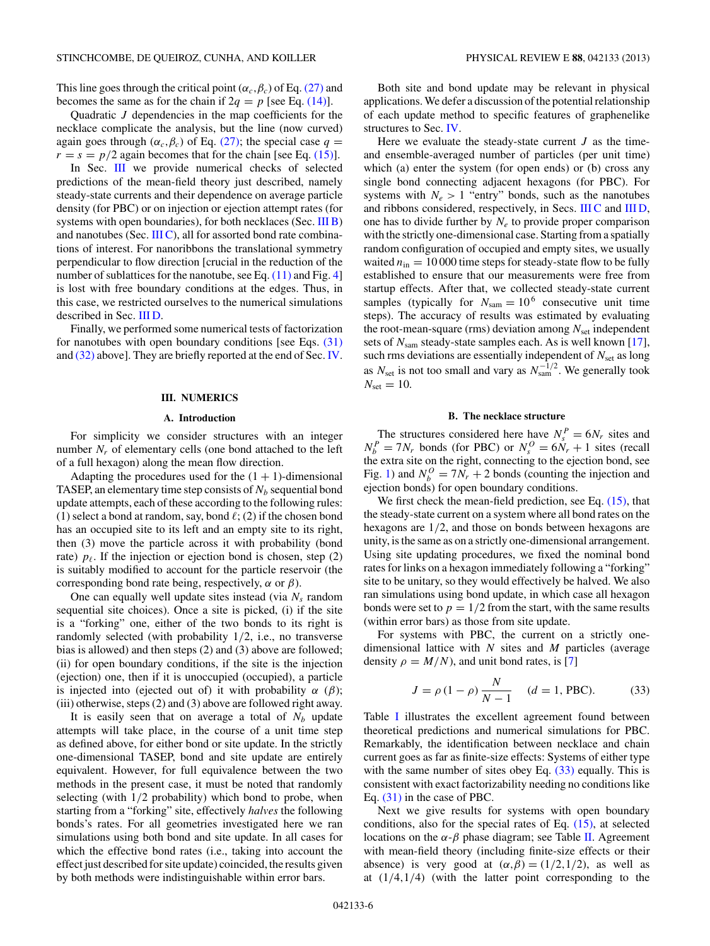<span id="page-5-0"></span>This line goes through the critical point ( $\alpha_c$ ,  $\beta_c$ ) of Eq. [\(27\)](#page-4-0) and becomes the same as for the chain if  $2q = p$  [see Eq. [\(14\)\]](#page-3-0).

Quadratic *J* dependencies in the map coefficients for the necklace complicate the analysis, but the line (now curved) again goes through ( $\alpha_c$ , $\beta_c$ ) of Eq. [\(27\);](#page-4-0) the special case  $q =$  $r = s = p/2$  again becomes that for the chain [see Eq. [\(15\)\]](#page-3-0).

In Sec. III we provide numerical checks of selected predictions of the mean-field theory just described, namely steady-state currents and their dependence on average particle density (for PBC) or on injection or ejection attempt rates (for systems with open boundaries), for both necklaces (Sec. III B) and nanotubes (Sec.  $III C$ ), all for assorted bond rate combinations of interest. For nanoribbons the translational symmetry perpendicular to flow direction [crucial in the reduction of the number of sublattices for the nanotube, see Eq. [\(11\)](#page-2-0) and Fig. [4\]](#page-3-0) is lost with free boundary conditions at the edges. Thus, in this case, we restricted ourselves to the numerical simulations described in Sec. [III D.](#page-8-0)

Finally, we performed some numerical tests of factorization for nanotubes with open boundary conditions [see Eqs.  $(31)$ ] and [\(32\)](#page-4-0) above]. They are briefly reported at the end of Sec. [IV.](#page-8-0)

### **III. NUMERICS**

#### **A. Introduction**

For simplicity we consider structures with an integer number  $N_r$  of elementary cells (one bond attached to the left of a full hexagon) along the mean flow direction.

Adapting the procedures used for the  $(1 + 1)$ -dimensional TASEP, an elementary time step consists of  $N_b$  sequential bond update attempts, each of these according to the following rules:  $(1)$  select a bond at random, say, bond  $\ell$ ;  $(2)$  if the chosen bond has an occupied site to its left and an empty site to its right, then (3) move the particle across it with probability (bond rate)  $p_{\ell}$ . If the injection or ejection bond is chosen, step (2) is suitably modified to account for the particle reservoir (the corresponding bond rate being, respectively,  $\alpha$  or  $\beta$ ).

One can equally well update sites instead (via  $N_s$  random sequential site choices). Once a site is picked, (i) if the site is a "forking" one, either of the two bonds to its right is randomly selected (with probability 1*/*2, i.e., no transverse bias is allowed) and then steps (2) and (3) above are followed; (ii) for open boundary conditions, if the site is the injection (ejection) one, then if it is unoccupied (occupied), a particle is injected into (ejected out of) it with probability  $\alpha$  ( $\beta$ ); (iii) otherwise, steps (2) and (3) above are followed right away.

It is easily seen that on average a total of  $N_b$  update attempts will take place, in the course of a unit time step as defined above, for either bond or site update. In the strictly one-dimensional TASEP, bond and site update are entirely equivalent. However, for full equivalence between the two methods in the present case, it must be noted that randomly selecting (with 1*/*2 probability) which bond to probe, when starting from a "forking" site, effectively *halves* the following bonds's rates. For all geometries investigated here we ran simulations using both bond and site update. In all cases for which the effective bond rates (i.e., taking into account the effect just described for site update) coincided, the results given by both methods were indistinguishable within error bars.

Both site and bond update may be relevant in physical applications. We defer a discussion of the potential relationship of each update method to specific features of graphenelike structures to Sec. [IV.](#page-8-0)

Here we evaluate the steady-state current *J* as the timeand ensemble-averaged number of particles (per unit time) which (a) enter the system (for open ends) or (b) cross any single bond connecting adjacent hexagons (for PBC). For systems with  $N_e > 1$  "entry" bonds, such as the nanotubes and ribbons considered, respectively, in Secs. [III C](#page-7-0) and [III D,](#page-8-0) one has to divide further by  $N_e$  to provide proper comparison with the strictly one-dimensional case. Starting from a spatially random configuration of occupied and empty sites, we usually waited  $n_{\text{in}} = 10000$  time steps for steady-state flow to be fully established to ensure that our measurements were free from startup effects. After that, we collected steady-state current samples (typically for  $N_{\text{sam}} = 10^6$  consecutive unit time steps). The accuracy of results was estimated by evaluating the root-mean-square (rms) deviation among  $N_{\text{set}}$  independent sets of  $N_{\text{sam}}$  steady-state samples each. As is well known [\[17\]](#page-10-0), such rms deviations are essentially independent of  $N_{\text{set}}$  as long as  $N_{\text{set}}$  is not too small and vary as  $N_{\text{sam}}^{-1/2}$ . We generally took  $N_{\text{set}} = 10$ .

## **B. The necklace structure**

The structures considered here have  $N_s^P = 6N_r$  sites and  $N_b^P = 7N_r$  bonds (for PBC) or  $N_s^O = 6N_r + 1$  sites (recall the extra site on the right, connecting to the ejection bond, see Fig. [1\)](#page-1-0) and  $N_b^O = 7N_r + 2$  bonds (counting the injection and ejection bonds) for open boundary conditions.

We first check the mean-field prediction, see Eq.  $(15)$ , that the steady-state current on a system where all bond rates on the hexagons are 1*/*2, and those on bonds between hexagons are unity, is the same as on a strictly one-dimensional arrangement. Using site updating procedures, we fixed the nominal bond rates for links on a hexagon immediately following a "forking" site to be unitary, so they would effectively be halved. We also ran simulations using bond update, in which case all hexagon bonds were set to  $p = 1/2$  from the start, with the same results (within error bars) as those from site update.

For systems with PBC, the current on a strictly onedimensional lattice with *N* sites and *M* particles (average density  $\rho = M/N$ , and unit bond rates, is [\[7\]](#page-10-0)

$$
J = \rho (1 - \rho) \frac{N}{N - 1} \quad (d = 1, \text{PBC}). \tag{33}
$$

Table [I](#page-6-0) illustrates the excellent agreement found between theoretical predictions and numerical simulations for PBC. Remarkably, the identification between necklace and chain current goes as far as finite-size effects: Systems of either type with the same number of sites obey Eq.  $(33)$  equally. This is consistent with exact factorizability needing no conditions like Eq. [\(31\)](#page-4-0) in the case of PBC.

Next we give results for systems with open boundary conditions, also for the special rates of Eq.  $(15)$ , at selected locations on the  $\alpha$ - $\beta$  phase diagram; see Table [II.](#page-6-0) Agreement with mean-field theory (including finite-size effects or their absence) is very good at  $(\alpha, \beta) = (1/2, 1/2)$ , as well as at (1*/*4*,*1*/*4) (with the latter point corresponding to the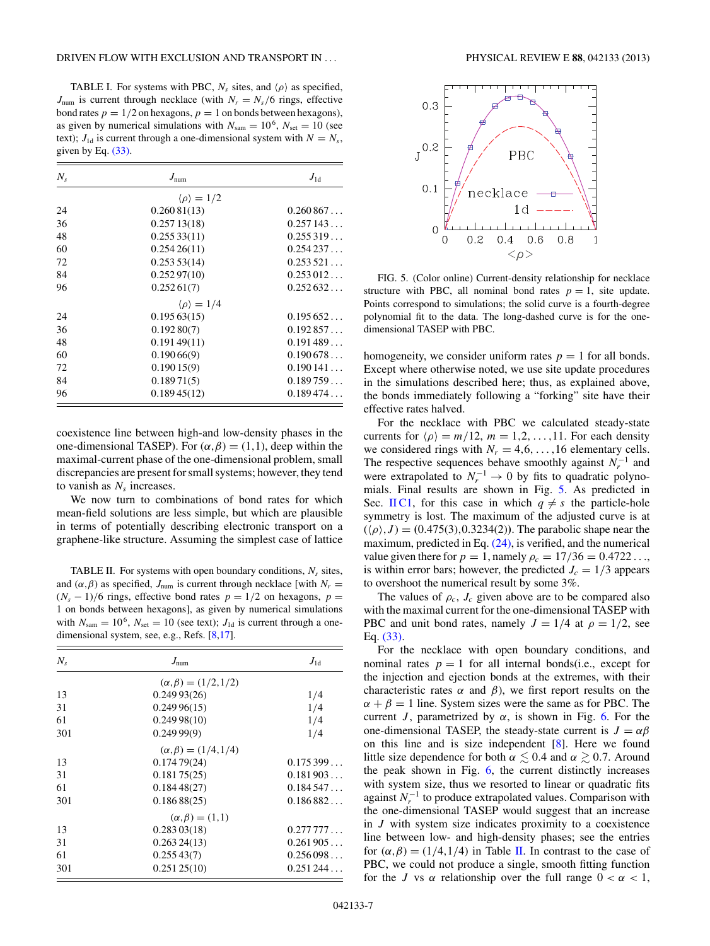<span id="page-6-0"></span>TABLE I. For systems with PBC,  $N_s$  sites, and  $\langle \rho \rangle$  as specified,  $J_{\text{num}}$  is current through necklace (with  $N_r = N_s/6$  rings, effective bond rates  $p = 1/2$  on hexagons,  $p = 1$  on bonds between hexagons), as given by numerical simulations with  $N_{\text{sam}} = 10^6$ ,  $N_{\text{set}} = 10$  (see text);  $J_{1d}$  is current through a one-dimensional system with  $N = N_s$ , given by Eq. [\(33\).](#page-5-0)

| $N_{s}$ | $J_{\text{num}}$             | $J_{\rm 1d}$ |  |
|---------|------------------------------|--------------|--|
|         | $\langle \rho \rangle = 1/2$ |              |  |
| 24      | 0.26081(13)                  | 0.260867     |  |
| 36      | 0.25713(18)                  | 0.257143     |  |
| 48      | 0.25533(11)                  | 0.255319     |  |
| 60      | 0.25426(11)                  | 0.254237     |  |
| 72      | 0.25353(14)                  | 0.253521     |  |
| 84      | 0.25297(10)                  | 0.253012     |  |
| 96      | 0.25261(7)                   | 0.252632     |  |
|         | $\langle \rho \rangle = 1/4$ |              |  |
| 24      | 0.19563(15)                  | 0.195652     |  |
| 36      | 0.19280(7)                   | 0.192857     |  |
| 48      | 0.19149(11)                  | 0.191489     |  |
| 60      | 0.19066(9)                   | 0.190678     |  |
| 72      | 0.19015(9)                   | 0.190141     |  |
| 84      | 0.18971(5)                   | 0.189759     |  |
| 96      | 0.18945(12)                  | 0.189474     |  |

coexistence line between high-and low-density phases in the one-dimensional TASEP). For  $(\alpha, \beta) = (1,1)$ , deep within the maximal-current phase of the one-dimensional problem, small discrepancies are present for small systems; however, they tend to vanish as  $N_s$  increases.

We now turn to combinations of bond rates for which mean-field solutions are less simple, but which are plausible in terms of potentially describing electronic transport on a graphene-like structure. Assuming the simplest case of lattice

TABLE II. For systems with open boundary conditions,  $N_s$  sites, and  $(\alpha, \beta)$  as specified,  $J_{num}$  is current through necklace [with  $N_r =$  $(N_s - 1)/6$  rings, effective bond rates  $p = 1/2$  on hexagons,  $p =$ 1 on bonds between hexagons], as given by numerical simulations with  $N_{\text{sam}} = 10^6$ ,  $N_{\text{set}} = 10$  (see text);  $J_{1d}$  is current through a one-dimensional system, see, e.g., Refs. [\[8,17\]](#page-10-0).

| $N_{s}$ | $J_{\text{num}}$               | $J_{1d}$ |  |
|---------|--------------------------------|----------|--|
|         | $(\alpha, \beta) = (1/2, 1/2)$ |          |  |
| 13      | 0.24993(26)                    | 1/4      |  |
| 31      | 0.24996(15)                    | 1/4      |  |
| 61      | 0.24998(10)                    | 1/4      |  |
| 301     | 0.24999(9)                     | 1/4      |  |
|         | $(\alpha, \beta) = (1/4, 1/4)$ |          |  |
| 13      | 0.17479(24)                    | 0.175399 |  |
| 31      | 0.18175(25)                    | 0.181903 |  |
| 61      | 0.18448(27)                    | 0.184547 |  |
| 301     | 0.18688(25)                    | 0.186882 |  |
|         | $(\alpha, \beta) = (1, 1)$     |          |  |
| 13      | 0.28303(18)                    | 0.277777 |  |
| 31      | 0.26324(13)                    | 0.261905 |  |
| 61      | 0.25543(7)                     | 0.256098 |  |
| 301     | 0.25125(10)                    | 0.251244 |  |



FIG. 5. (Color online) Current-density relationship for necklace structure with PBC, all nominal bond rates  $p = 1$ , site update. Points correspond to simulations; the solid curve is a fourth-degree polynomial fit to the data. The long-dashed curve is for the onedimensional TASEP with PBC.

homogeneity, we consider uniform rates  $p = 1$  for all bonds. Except where otherwise noted, we use site update procedures in the simulations described here; thus, as explained above, the bonds immediately following a "forking" site have their effective rates halved.

For the necklace with PBC we calculated steady-state currents for  $\langle \rho \rangle = m/12$ ,  $m = 1, 2, ..., 11$ . For each density we considered rings with  $N_r = 4, 6, \ldots, 16$  elementary cells. The respective sequences behave smoothly against  $N_r^{-1}$  and were extrapolated to  $N_r^{-1} \rightarrow 0$  by fits to quadratic polynomials. Final results are shown in Fig. 5. As predicted in Sec. IIC1, for this case in which  $q \neq s$  the particle-hole symmetry is lost. The maximum of the adjusted curve is at  $(\langle \rho \rangle, J) = (0.475(3), 0.3234(2))$ . The parabolic shape near the maximum, predicted in Eq.  $(24)$ , is verified, and the numerical value given there for  $p = 1$ , namely  $\rho_c = 17/36 = 0.4722...$ is within error bars; however, the predicted  $J_c = 1/3$  appears to overshoot the numerical result by some 3%.

The values of  $\rho_c$ ,  $J_c$  given above are to be compared also with the maximal current for the one-dimensional TASEP with PBC and unit bond rates, namely  $J = 1/4$  at  $\rho = 1/2$ , see Eq. [\(33\).](#page-5-0)

For the necklace with open boundary conditions, and nominal rates  $p = 1$  for all internal bonds(i.e., except for the injection and ejection bonds at the extremes, with their characteristic rates  $\alpha$  and  $\beta$ ), we first report results on the  $\alpha + \beta = 1$  line. System sizes were the same as for PBC. The current *J*, parametrized by  $\alpha$ , is shown in Fig. [6.](#page-7-0) For the one-dimensional TASEP, the steady-state current is  $J = \alpha \beta$ on this line and is size independent [\[8\]](#page-10-0). Here we found little size dependence for both  $\alpha \lesssim 0.4$  and  $\alpha \gtrsim 0.7$ . Around the peak shown in Fig. [6,](#page-7-0) the current distinctly increases with system size, thus we resorted to linear or quadratic fits against  $N_r^{-1}$  to produce extrapolated values. Comparison with the one-dimensional TASEP would suggest that an increase in *J* with system size indicates proximity to a coexistence line between low- and high-density phases; see the entries for  $(\alpha, \beta) = (1/4, 1/4)$  in Table II. In contrast to the case of PBC, we could not produce a single, smooth fitting function for the *J* vs  $\alpha$  relationship over the full range  $0 < \alpha < 1$ ,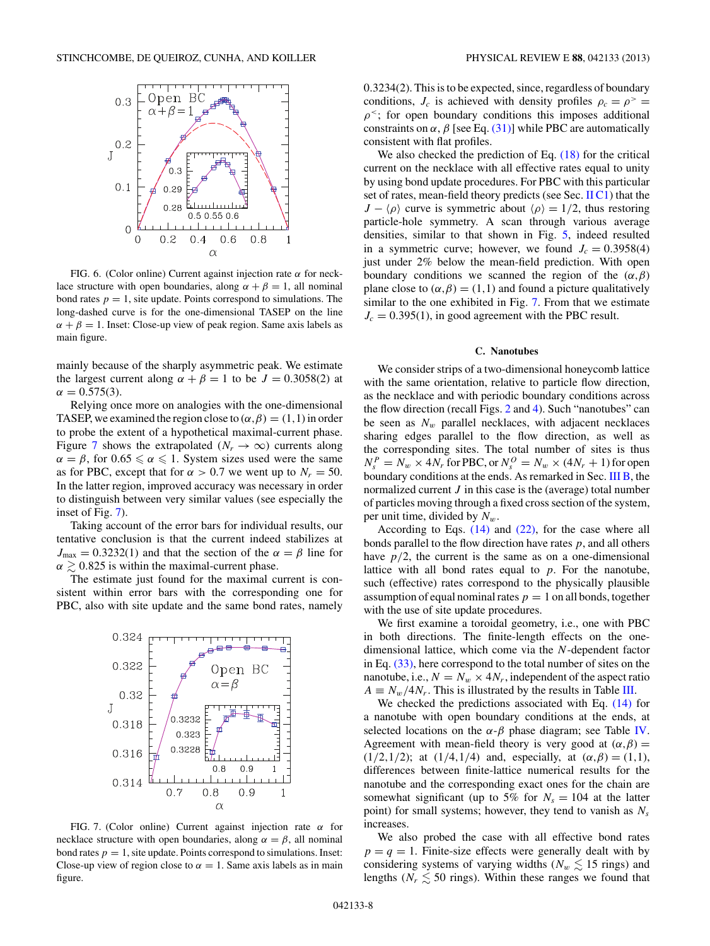<span id="page-7-0"></span>

FIG. 6. (Color online) Current against injection rate *α* for necklace structure with open boundaries, along  $\alpha + \beta = 1$ , all nominal bond rates  $p = 1$ , site update. Points correspond to simulations. The long-dashed curve is for the one-dimensional TASEP on the line  $\alpha + \beta = 1$ . Inset: Close-up view of peak region. Same axis labels as main figure.

mainly because of the sharply asymmetric peak. We estimate the largest current along  $\alpha + \beta = 1$  to be  $J = 0.3058(2)$  at  $\alpha = 0.575(3)$ .

Relying once more on analogies with the one-dimensional TASEP, we examined the region close to  $(\alpha, \beta) = (1,1)$  in order to probe the extent of a hypothetical maximal-current phase. Figure 7 shows the extrapolated ( $N_r \rightarrow \infty$ ) currents along  $\alpha = \beta$ , for  $0.65 \le \alpha \le 1$ . System sizes used were the same as for PBC, except that for  $\alpha > 0.7$  we went up to  $N_r = 50$ . In the latter region, improved accuracy was necessary in order to distinguish between very similar values (see especially the inset of Fig. 7).

Taking account of the error bars for individual results, our tentative conclusion is that the current indeed stabilizes at  $J_{\text{max}} = 0.3232(1)$  and that the section of the  $\alpha = \beta$  line for  $\alpha \gtrsim 0.825$  is within the maximal-current phase.

The estimate just found for the maximal current is consistent within error bars with the corresponding one for PBC, also with site update and the same bond rates, namely



FIG. 7. (Color online) Current against injection rate *α* for necklace structure with open boundaries, along  $\alpha = \beta$ , all nominal bond rates  $p = 1$ , site update. Points correspond to simulations. Inset: Close-up view of region close to  $\alpha = 1$ . Same axis labels as in main figure.

0*.*3234(2). This is to be expected, since, regardless of boundary conditions,  $J_c$  is achieved with density profiles  $\rho_c = \rho^>$  =  $\rho^2$ ; for open boundary conditions this imposes additional constraints on  $\alpha$ ,  $\beta$  [see Eq. [\(31\)\]](#page-4-0) while PBC are automatically consistent with flat profiles.

We also checked the prediction of Eq.  $(18)$  for the critical current on the necklace with all effective rates equal to unity by using bond update procedures. For PBC with this particular set of rates, mean-field theory predicts (see Sec. [II C1\)](#page-3-0) that the *J* −  $\langle \rho \rangle$  curve is symmetric about  $\langle \rho \rangle$  = 1/2, thus restoring particle-hole symmetry. A scan through various average densities, similar to that shown in Fig. [5,](#page-6-0) indeed resulted in a symmetric curve; however, we found  $J_c = 0.3958(4)$ just under 2% below the mean-field prediction. With open boundary conditions we scanned the region of the  $(\alpha, \beta)$ plane close to  $(\alpha, \beta) = (1, 1)$  and found a picture qualitatively similar to the one exhibited in Fig. 7. From that we estimate  $J_c = 0.395(1)$ , in good agreement with the PBC result.

#### **C. Nanotubes**

We consider strips of a two-dimensional honeycomb lattice with the same orientation, relative to particle flow direction, as the necklace and with periodic boundary conditions across the flow direction (recall Figs. [2](#page-1-0) and [4\)](#page-3-0). Such "nanotubes" can be seen as  $N_w$  parallel necklaces, with adjacent necklaces sharing edges parallel to the flow direction, as well as the corresponding sites. The total number of sites is thus  $N_s^P = N_w \times 4N_r$  for PBC, or  $N_s^O = N_w \times (4N_r + 1)$  for open boundary conditions at the ends. As remarked in Sec. [III B,](#page-5-0) the normalized current *J* in this case is the (average) total number of particles moving through a fixed cross section of the system, per unit time, divided by  $N_w$ .

According to Eqs.  $(14)$  and  $(22)$ , for the case where all bonds parallel to the flow direction have rates *p*, and all others have  $p/2$ , the current is the same as on a one-dimensional lattice with all bond rates equal to *p*. For the nanotube, such (effective) rates correspond to the physically plausible assumption of equal nominal rates  $p = 1$  on all bonds, together with the use of site update procedures.

We first examine a toroidal geometry, i.e., one with PBC in both directions. The finite-length effects on the onedimensional lattice, which come via the *N*-dependent factor in Eq. [\(33\),](#page-5-0) here correspond to the total number of sites on the nanotube, i.e.,  $N = N_w \times 4N_r$ , independent of the aspect ratio  $A \equiv N_w/4N_r$ . This is illustrated by the results in Table [III.](#page-8-0)

We checked the predictions associated with Eq. [\(14\)](#page-3-0) for a nanotube with open boundary conditions at the ends, at selected locations on the  $\alpha$ - $\beta$  phase diagram; see Table [IV.](#page-8-0) Agreement with mean-field theory is very good at  $(\alpha, \beta)$  = (1/2,1/2); at (1/4,1/4) and, especially, at  $(\alpha, \beta) = (1, 1)$ , differences between finite-lattice numerical results for the nanotube and the corresponding exact ones for the chain are somewhat significant (up to 5% for  $N_s = 104$  at the latter point) for small systems; however, they tend to vanish as *Ns* increases.

We also probed the case with all effective bond rates  $p = q = 1$ . Finite-size effects were generally dealt with by considering systems of varying widths ( $N_w \lesssim 15$  rings) and lengths ( $N_r \lesssim 50$  rings). Within these ranges we found that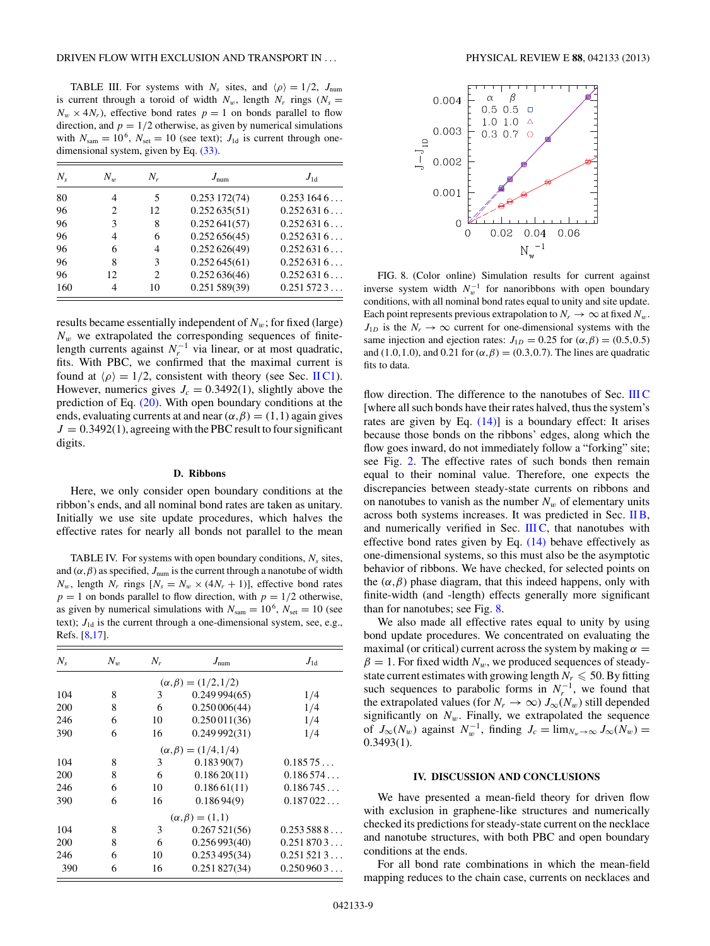<span id="page-8-0"></span>TABLE III. For systems with  $N_s$  sites, and  $\langle \rho \rangle = 1/2$ ,  $J_{num}$ is current through a toroid of width  $N_w$ , length  $N_r$  rings ( $N_s =$  $N_w \times 4N_r$ , effective bond rates  $p = 1$  on bonds parallel to flow direction, and  $p = 1/2$  otherwise, as given by numerical simulations with  $N_{\text{sam}} = 10^6$ ,  $N_{\text{set}} = 10$  (see text);  $J_{\text{1d}}$  is current through onedimensional system, given by Eq. [\(33\).](#page-5-0)

| $N_{s}$ | $N_{w}$                     | $N_r$ | $J_{\text{num}}$ | $J_{1d}$  |
|---------|-----------------------------|-------|------------------|-----------|
| 80      |                             | 5     | 0.253172(74)     | 0.2531646 |
| 96      | $\mathcal{D}_{\mathcal{L}}$ | 12    | 0.252635(51)     | 0.2526316 |
| 96      | 3                           | 8     | 0.252641(57)     | 0.2526316 |
| 96      | 4                           | 6     | 0.252656(45)     | 0.2526316 |
| 96      | 6                           | 4     | 0.252626(49)     | 0.2526316 |
| 96      | 8                           | 3     | 0.252645(61)     | 0.2526316 |
| 96      | 12                          | 2     | 0.252636(46)     | 0.2526316 |
| 160     | 4                           | 10    | 0.251589(39)     | 0.2515723 |

results became essentially independent of  $N_w$ ; for fixed (large)  $N_w$  we extrapolated the corresponding sequences of finitelength currents against  $N_r^{-1}$  via linear, or at most quadratic, fits. With PBC, we confirmed that the maximal current is found at  $\langle \rho \rangle = 1/2$ , consistent with theory (see Sec. [II C1\)](#page-3-0). However, numerics gives  $J_c = 0.3492(1)$ , slightly above the prediction of Eq. [\(20\).](#page-3-0) With open boundary conditions at the ends, evaluating currents at and near  $(\alpha, \beta) = (1, 1)$  again gives  $J = 0.3492(1)$ , agreeing with the PBC result to four significant digits.

# **D. Ribbons**

Here, we only consider open boundary conditions at the ribbon's ends, and all nominal bond rates are taken as unitary. Initially we use site update procedures, which halves the effective rates for nearly all bonds not parallel to the mean

TABLE IV. For systems with open boundary conditions,  $N_s$  sites, and  $(\alpha, \beta)$  as specified,  $J_{num}$  is the current through a nanotube of width  $N_w$ , length  $N_r$  rings  $[N_s = N_w \times (4N_r + 1)]$ , effective bond rates  $p = 1$  on bonds parallel to flow direction, with  $p = 1/2$  otherwise, as given by numerical simulations with  $N_{\text{sam}} = 10^6$ ,  $N_{\text{set}} = 10$  (see text);  $J_{1d}$  is the current through a one-dimensional system, see, e.g., Refs. [\[8,17\]](#page-10-0).

| $N_{\rm s}$ | $N_{w}$ | $N_r$ | $J_{\text{num}}$               | $J_{1d}$  |
|-------------|---------|-------|--------------------------------|-----------|
|             |         |       | $(\alpha, \beta) = (1/2, 1/2)$ |           |
| 104         | 8       | 3     | 0.249994(65)                   | 1/4       |
| 200         | 8       | 6     | 0.250006(44)                   | 1/4       |
| 246         | 6       | 10    | 0.250011(36)                   | 1/4       |
| 390         | 6       | 16    | 0.249992(31)                   | 1/4       |
|             |         |       | $(\alpha, \beta) = (1/4, 1/4)$ |           |
| 104         | 8       | 3     | 0.18390(7)                     | 0.18575   |
| 200         | 8       | 6     | 0.18620(11)                    | 0.186574  |
| 246         | 6       | 10    | 0.18661(11)                    | 0.186745  |
| 390         | 6       | 16    | 0.18694(9)                     | 0.187022  |
|             |         |       | $(\alpha, \beta) = (1, 1)$     |           |
| 104         | 8       | 3     | 0.267521(56)                   | 0.2535888 |
| 200         | 8       | 6     | 0.256993(40)                   | 0.2518703 |
| 246         | 6       | 10    | 0.253495(34)                   | 0.2515213 |
| 390         | 6       | 16    | 0.251827(34)                   | 0.2509603 |



FIG. 8. (Color online) Simulation results for current against inverse system width  $N_w^{-1}$  for nanoribbons with open boundary conditions, with all nominal bond rates equal to unity and site update. Each point represents previous extrapolation to  $N_r \to \infty$  at fixed  $N_w$ .  $J_{1D}$  is the  $N_r \rightarrow \infty$  current for one-dimensional systems with the same injection and ejection rates:  $J_{1D} = 0.25$  for  $(\alpha, \beta) = (0.5, 0.5)$ and (1.0,1.0), and 0.21 for  $(\alpha, \beta) = (0.3, 0.7)$ . The lines are quadratic fits to data.

flow direction. The difference to the nanotubes of Sec. [III C](#page-7-0) [where all such bonds have their rates halved, thus the system's rates are given by Eq.  $(14)$ ] is a boundary effect: It arises because those bonds on the ribbons' edges, along which the flow goes inward, do not immediately follow a "forking" site; see Fig. [2.](#page-1-0) The effective rates of such bonds then remain equal to their nominal value. Therefore, one expects the discrepancies between steady-state currents on ribbons and on nanotubes to vanish as the number  $N_w$  of elementary units across both systems increases. It was predicted in Sec. [II B,](#page-2-0) and numerically verified in Sec.  $IIIC$ , that nanotubes with effective bond rates given by Eq.  $(14)$  behave effectively as one-dimensional systems, so this must also be the asymptotic behavior of ribbons. We have checked, for selected points on the  $(\alpha, \beta)$  phase diagram, that this indeed happens, only with finite-width (and -length) effects generally more significant than for nanotubes; see Fig. 8.

We also made all effective rates equal to unity by using bond update procedures. We concentrated on evaluating the maximal (or critical) current across the system by making  $\alpha =$  $\beta = 1$ . For fixed width  $N_w$ , we produced sequences of steadystate current estimates with growing length  $N_r \le 50$ . By fitting such sequences to parabolic forms in  $N_r^{-1}$ , we found that the extrapolated values (for  $N_r \to \infty$ )  $J_\infty(N_w)$  still depended significantly on  $N_w$ . Finally, we extrapolated the sequence of  $J_{\infty}(N_w)$  against  $N_w^{-1}$ , finding  $J_c = \lim_{N_w \to \infty} J_{\infty}(N_w)$  = 0*.*3493(1).

### **IV. DISCUSSION AND CONCLUSIONS**

We have presented a mean-field theory for driven flow with exclusion in graphene-like structures and numerically checked its predictions for steady-state current on the necklace and nanotube structures, with both PBC and open boundary conditions at the ends.

For all bond rate combinations in which the mean-field mapping reduces to the chain case, currents on necklaces and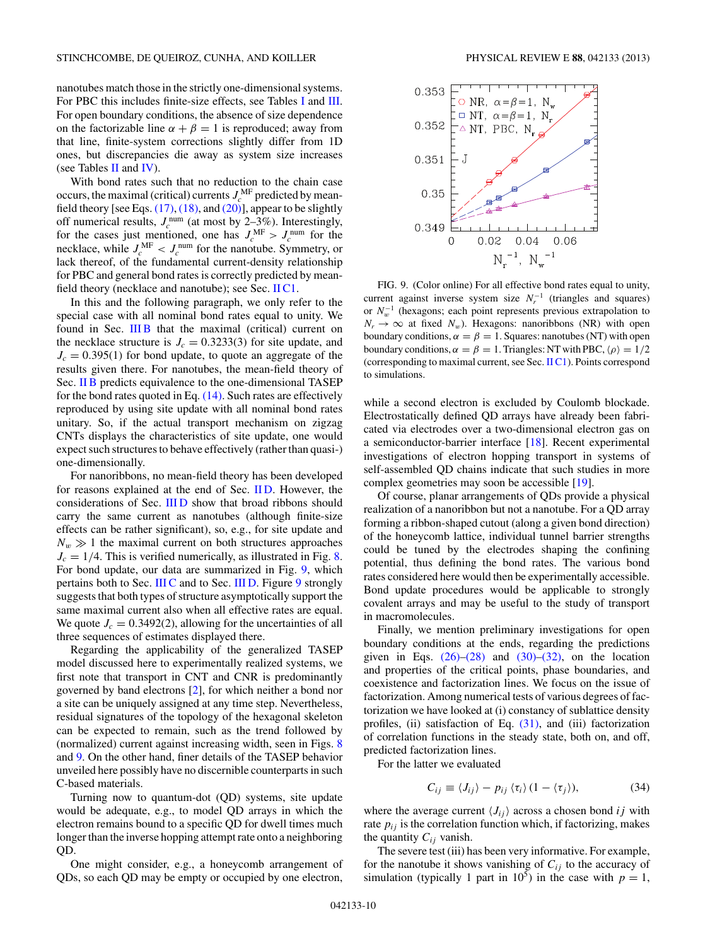nanotubes match those in the strictly one-dimensional systems. For PBC this includes finite-size effects, see Tables [I](#page-6-0) and [III.](#page-8-0) For open boundary conditions, the absence of size dependence on the factorizable line  $\alpha + \beta = 1$  is reproduced; away from that line, finite-system corrections slightly differ from 1D ones, but discrepancies die away as system size increases (see Tables [II](#page-6-0) and [IV\)](#page-8-0).

With bond rates such that no reduction to the chain case occurs, the maximal (critical) currents  $J_c^{\text{MF}}$  predicted by meanfield theory [see Eqs.  $(17)$ ,  $(18)$ , and  $(20)$ ], appear to be slightly off numerical results,  $J_c^{\text{num}}$  (at most by 2–3%). Interestingly, for the cases just mentioned, one has  $J_c^{\text{MF}} > J_c^{\text{num}}$  for the necklace, while  $J_c^{\text{MF}} < J_c^{\text{num}}$  for the nanotube. Symmetry, or lack thereof, of the fundamental current-density relationship for PBC and general bond rates is correctly predicted by meanfield theory (necklace and nanotube); see Sec.  $\text{IIC1}$ .

In this and the following paragraph, we only refer to the special case with all nominal bond rates equal to unity. We found in Sec. [III B](#page-5-0) that the maximal (critical) current on the necklace structure is  $J_c = 0.3233(3)$  for site update, and  $J_c = 0.395(1)$  for bond update, to quote an aggregate of the results given there. For nanotubes, the mean-field theory of Sec. [II B](#page-2-0) predicts equivalence to the one-dimensional TASEP for the bond rates quoted in Eq.  $(14)$ . Such rates are effectively reproduced by using site update with all nominal bond rates unitary. So, if the actual transport mechanism on zigzag CNTs displays the characteristics of site update, one would expect such structures to behave effectively (rather than quasi-) one-dimensionally.

For nanoribbons, no mean-field theory has been developed for reasons explained at the end of Sec. IID. However, the considerations of Sec. [III D](#page-8-0) show that broad ribbons should carry the same current as nanotubes (although finite-size effects can be rather significant), so, e.g., for site update and  $N_w \gg 1$  the maximal current on both structures approaches  $J_c = 1/4$ . This is verified numerically, as illustrated in Fig. [8.](#page-8-0) For bond update, our data are summarized in Fig. 9, which pertains both to Sec. [III C](#page-7-0) and to Sec. [III D.](#page-8-0) Figure 9 strongly suggests that both types of structure asymptotically support the same maximal current also when all effective rates are equal. We quote  $J_c = 0.3492(2)$ , allowing for the uncertainties of all three sequences of estimates displayed there.

Regarding the applicability of the generalized TASEP model discussed here to experimentally realized systems, we first note that transport in CNT and CNR is predominantly governed by band electrons [\[2\]](#page-10-0), for which neither a bond nor a site can be uniquely assigned at any time step. Nevertheless, residual signatures of the topology of the hexagonal skeleton can be expected to remain, such as the trend followed by (normalized) current against increasing width, seen in Figs. [8](#page-8-0) and 9. On the other hand, finer details of the TASEP behavior unveiled here possibly have no discernible counterparts in such C-based materials.

Turning now to quantum-dot (QD) systems, site update would be adequate, e.g., to model QD arrays in which the electron remains bound to a specific QD for dwell times much longer than the inverse hopping attempt rate onto a neighboring QD.

One might consider, e.g., a honeycomb arrangement of QDs, so each QD may be empty or occupied by one electron,



FIG. 9. (Color online) For all effective bond rates equal to unity, current against inverse system size  $N_r^{-1}$  (triangles and squares) or *N*<sup>−</sup><sup>1</sup> *<sup>w</sup>* (hexagons; each point represents previous extrapolation to  $N_r \rightarrow \infty$  at fixed  $N_w$ ). Hexagons: nanoribbons (NR) with open boundary conditions,  $\alpha = \beta = 1$ . Squares: nanotubes (NT) with open boundary conditions,  $\alpha = \beta = 1$ . Triangles: NT with PBC,  $\langle \rho \rangle = 1/2$ (corresponding to maximal current, see Sec. [II C1\)](#page-3-0). Points correspond to simulations.

while a second electron is excluded by Coulomb blockade. Electrostatically defined QD arrays have already been fabricated via electrodes over a two-dimensional electron gas on a semiconductor-barrier interface [\[18\]](#page-10-0). Recent experimental investigations of electron hopping transport in systems of self-assembled QD chains indicate that such studies in more complex geometries may soon be accessible [\[19\]](#page-10-0).

Of course, planar arrangements of QDs provide a physical realization of a nanoribbon but not a nanotube. For a QD array forming a ribbon-shaped cutout (along a given bond direction) of the honeycomb lattice, individual tunnel barrier strengths could be tuned by the electrodes shaping the confining potential, thus defining the bond rates. The various bond rates considered here would then be experimentally accessible. Bond update procedures would be applicable to strongly covalent arrays and may be useful to the study of transport in macromolecules.

Finally, we mention preliminary investigations for open boundary conditions at the ends, regarding the predictions given in Eqs.  $(26)$ – $(28)$  and  $(30)$ – $(32)$ , on the location and properties of the critical points, phase boundaries, and coexistence and factorization lines. We focus on the issue of factorization. Among numerical tests of various degrees of factorization we have looked at (i) constancy of sublattice density profiles, (ii) satisfaction of Eq. [\(31\),](#page-4-0) and (iii) factorization of correlation functions in the steady state, both on, and off, predicted factorization lines.

For the latter we evaluated

$$
C_{ij} \equiv \langle J_{ij} \rangle - p_{ij} \langle \tau_i \rangle (1 - \langle \tau_j \rangle), \tag{34}
$$

where the average current  $\langle J_{ij} \rangle$  across a chosen bond *ij* with rate  $p_{ij}$  is the correlation function which, if factorizing, makes the quantity  $C_{ij}$  vanish.

The severe test (iii) has been very informative. For example, for the nanotube it shows vanishing of  $C_{ij}$  to the accuracy of simulation (typically 1 part in  $10^5$ ) in the case with  $p = 1$ ,